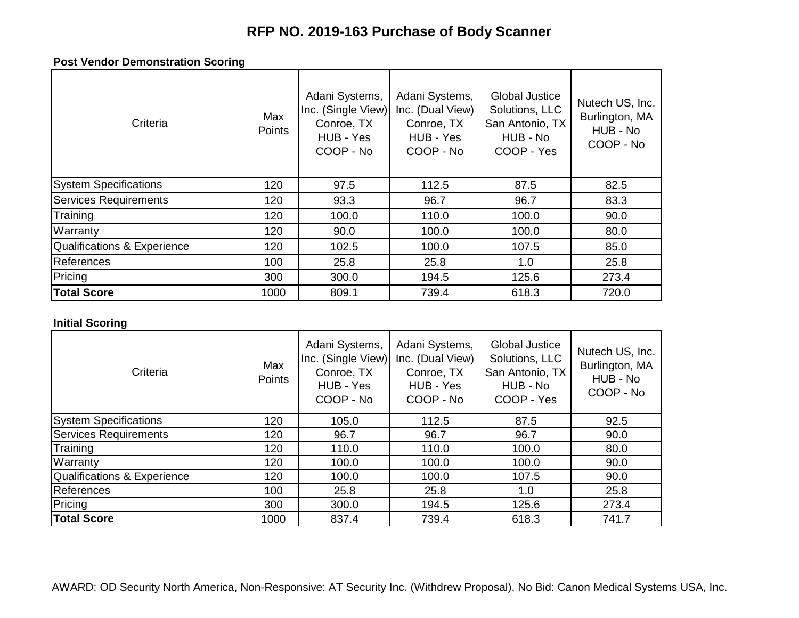# **RFP NO. 2019-163 Purchase of Body Scanner**

### **Post Vendor Demonstration Scoring**

| Criteria                     | Max<br><b>Points</b> | Adani Systems,<br>Inc. (Single View)<br>Conroe, TX<br>HUB - Yes<br>COOP - No | Adani Systems,<br>Inc. (Dual View)<br>Conroe, TX<br>HUB - Yes<br>COOP - No | Global Justice<br>Solutions, LLC<br>San Antonio, TX<br>HUB - No<br>COOP - Yes | Nutech US, Inc.<br>Burlington, MA<br>HUB - No<br>COOP - No |
|------------------------------|----------------------|------------------------------------------------------------------------------|----------------------------------------------------------------------------|-------------------------------------------------------------------------------|------------------------------------------------------------|
| <b>System Specifications</b> | 120                  | 97.5                                                                         | 112.5                                                                      | 87.5                                                                          | 82.5                                                       |
| Services Requirements        | 120                  | 93.3                                                                         | 96.7                                                                       | 96.7                                                                          | 83.3                                                       |
| Training                     | 120                  | 100.0                                                                        | 110.0                                                                      | 100.0                                                                         | 90.0                                                       |
| Warranty                     | 120                  | 90.0                                                                         | 100.0                                                                      | 100.0                                                                         | 80.0                                                       |
| Qualifications & Experience  | 120                  | 102.5                                                                        | 100.0                                                                      | 107.5                                                                         | 85.0                                                       |
| References                   | 100                  | 25.8                                                                         | 25.8                                                                       | 1.0                                                                           | 25.8                                                       |
| Pricing                      | 300                  | 300.0                                                                        | 194.5                                                                      | 125.6                                                                         | 273.4                                                      |
| <b>Total Score</b>           | 1000                 | 809.1                                                                        | 739.4                                                                      | 618.3                                                                         | 720.0                                                      |

### **Initial Scoring**

| Criteria                     | Max<br><b>Points</b> | Adani Systems,<br>Inc. (Single View)<br>Conroe, TX<br>HUB - Yes<br>COOP - No | Adani Systems,<br>Inc. (Dual View)<br>Conroe, TX<br>HUB - Yes<br>COOP - No | <b>Global Justice</b><br>Solutions, LLC<br>San Antonio, TX<br>HUB - No<br>COOP - Yes | Nutech US, Inc.<br>Burlington, MA<br>HUB - No<br>COOP - No |
|------------------------------|----------------------|------------------------------------------------------------------------------|----------------------------------------------------------------------------|--------------------------------------------------------------------------------------|------------------------------------------------------------|
| <b>System Specifications</b> | 120                  | 105.0                                                                        | 112.5                                                                      | 87.5                                                                                 | 92.5                                                       |
| Services Requirements        | 120                  | 96.7                                                                         | 96.7                                                                       | 96.7                                                                                 | 90.0                                                       |
| Training                     | 120                  | 110.0                                                                        | 110.0                                                                      | 100.0                                                                                | 80.0                                                       |
| Warranty                     | 120                  | 100.0                                                                        | 100.0                                                                      | 100.0                                                                                | 90.0                                                       |
| Qualifications & Experience  | 120                  | 100.0                                                                        | 100.0                                                                      | 107.5                                                                                | 90.0                                                       |
| References                   | 100                  | 25.8                                                                         | 25.8                                                                       | 1.0                                                                                  | 25.8                                                       |
| Pricing                      | 300                  | 300.0                                                                        | 194.5                                                                      | 125.6                                                                                | 273.4                                                      |
| <b>Total Score</b>           | 1000                 | 837.4                                                                        | 739.4                                                                      | 618.3                                                                                | 741.7                                                      |